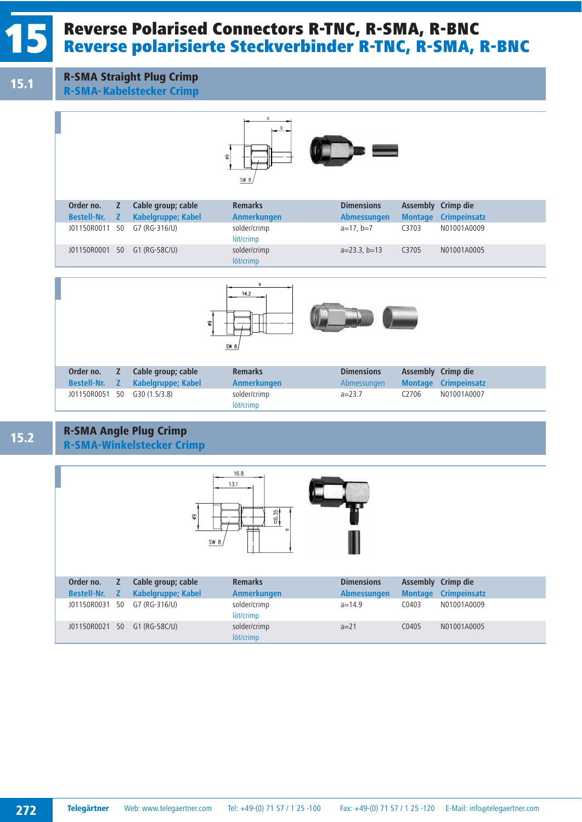## Reverse Polarised Connectors R-TNC, R-SMA, R-BNC<br>Reverse polarisierte Steckverbinder R-TNC, R-SMA, R-BNC

15.1 R-SMA Straight Plug Crimp

R-SMA-Kabelstecker Crimp



| Order no.          | Z. | Cable group; cable           | <b>Remarks</b>            | <b>Dimensions</b>  |                | <b>Assembly Crimp die</b> |
|--------------------|----|------------------------------|---------------------------|--------------------|----------------|---------------------------|
| <b>Bestell-Nr.</b> | Z. | Kabelgruppe; Kabel           | Anmerkungen               | <b>Abmessungen</b> | <b>Montage</b> | <b>Crimpeinsatz</b>       |
|                    |    | J01150R0011 50 G7 (RG-316/U) | solder/crimp<br>löt/crimp | $a=17, b=7$        | C3703          | N01001A0009               |
|                    |    | J01150R0001 50 G1 (RG-58C/U) | solder/crimp              | $a=23.3$ , $b=13$  | C3705          | N01001A0005               |
|                    |    |                              | löt/crimp                 |                    |                |                           |



| Order no.                    | Z Cable group; cable             | <b>Remarks</b>            | <b>Dimensions</b> | Assembly Crimp die |                             |
|------------------------------|----------------------------------|---------------------------|-------------------|--------------------|-----------------------------|
|                              | Bestell-Nr. Z Kabelgruppe; Kabel | Anmerkungen               | Abmessungen       |                    | <b>Montage Crimpeinsatz</b> |
| J01150R0051 50 G30 (1.5/3.8) |                                  | solder/crimp<br>löt/crimp | $a=23.7$          | C <sub>2706</sub>  | N01001A0007                 |

## 15.2 R-SMA Angle Plug Crimp R-SMA-Winkelstecker Crimp



| Order no.     |  | Cable group; cable           | <b>Remarks</b>            | <b>Dimensions</b>  | Assembly Crimp die |                             |
|---------------|--|------------------------------|---------------------------|--------------------|--------------------|-----------------------------|
| Bestell-Nr. Z |  | Kabelgruppe; Kabel           | Anmerkungen               | <b>Abmessungen</b> |                    | <b>Montage Crimpeinsatz</b> |
| J01150R0031   |  | 50 G7 (RG-316/U)             | solder/crimp<br>löt/crimp | $a=14.9$           | C0403              | N01001A0009                 |
|               |  | J01150R0021 50 G1 (RG-58C/U) | solder/crimp              | $a=21$             | C0405              | N01001A0005                 |
|               |  |                              | löt/crimp                 |                    |                    |                             |